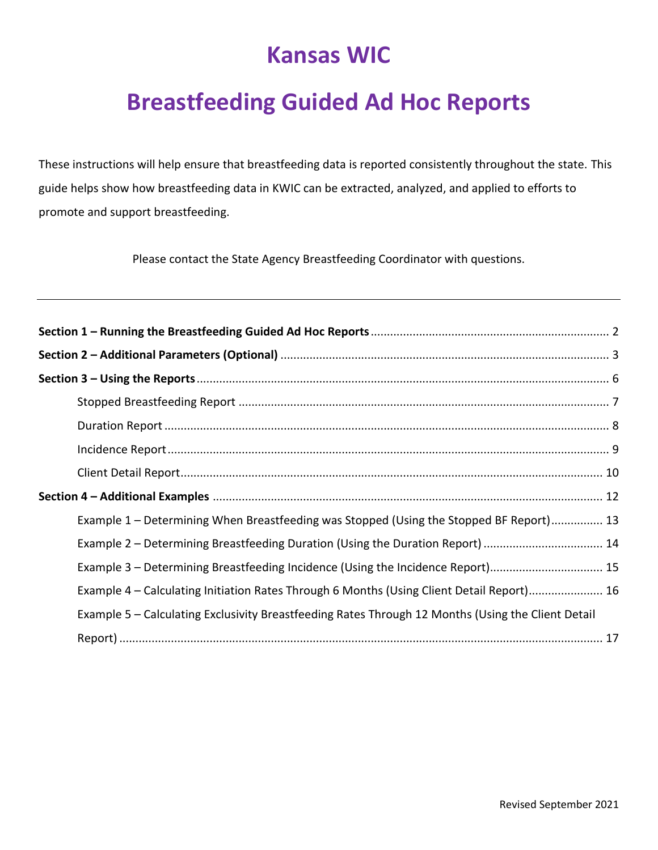# **Kansas WIC**

# **Breastfeeding Guided Ad Hoc Reports**

These instructions will help ensure that breastfeeding data is reported consistently throughout the state. This guide helps show how breastfeeding data in KWIC can be extracted, analyzed, and applied to efforts to promote and support breastfeeding.

Please contact the State Agency Breastfeeding Coordinator with questions.

| Example 1 - Determining When Breastfeeding was Stopped (Using the Stopped BF Report) 13            |  |
|----------------------------------------------------------------------------------------------------|--|
| Example 2 – Determining Breastfeeding Duration (Using the Duration Report)  14                     |  |
| Example 3 - Determining Breastfeeding Incidence (Using the Incidence Report) 15                    |  |
| Example 4 - Calculating Initiation Rates Through 6 Months (Using Client Detail Report) 16          |  |
| Example 5 - Calculating Exclusivity Breastfeeding Rates Through 12 Months (Using the Client Detail |  |
|                                                                                                    |  |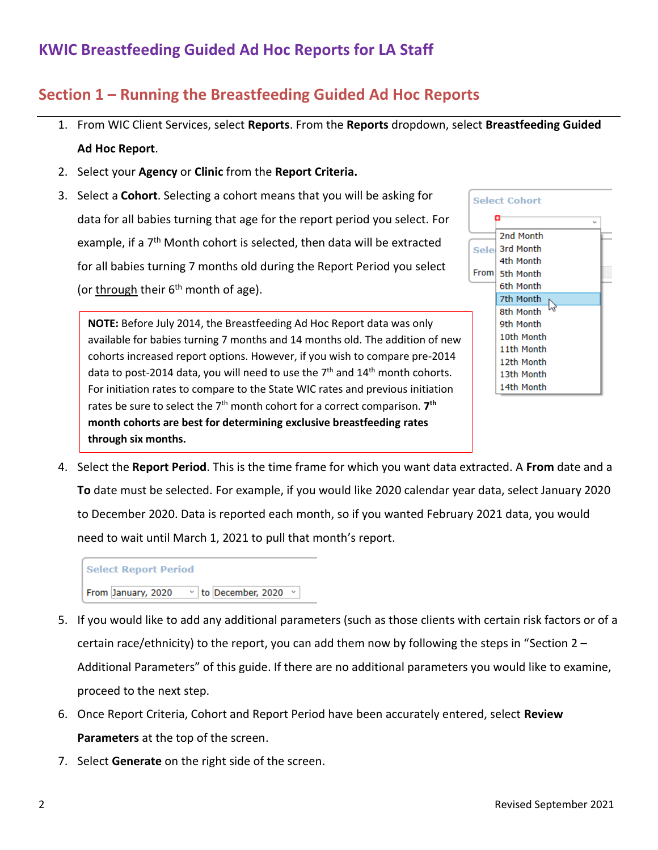#### **Section 1 – Running the Breastfeeding Guided Ad Hoc Reports**

- 1. From WIC Client Services, select **Reports**. From the **Reports** dropdown, select **Breastfeeding Guided Ad Hoc Report**.
- 2. Select your **Agency** or **Clinic** from the **Report Criteria.**
- 3. Select a **Cohort**. Selecting a cohort means that you will be asking for data for all babies turning that age for the report period you select. For example, if a 7<sup>th</sup> Month cohort is selected, then data will be extracted for all babies turning 7 months old during the Report Period you select (or through their  $6<sup>th</sup>$  month of age).

**NOTE:** Before July 2014, the Breastfeeding Ad Hoc Report data was only available for babies turning 7 months and 14 months old. The addition of new cohorts increased report options. However, if you wish to compare pre-2014 data to post-2014 data, you will need to use the  $7<sup>th</sup>$  and  $14<sup>th</sup>$  month cohorts. For initiation rates to compare to the State WIC rates and previous initiation rates be sure to select the 7<sup>th</sup> month cohort for a correct comparison. **7<sup>th</sup> month cohorts are best for determining exclusive breastfeeding rates through six months.**



4. Select the **Report Period**. This is the time frame for which you want data extracted. A **From** date and a **To** date must be selected. For example, if you would like 2020 calendar year data, select January 2020 to December 2020. Data is reported each month, so if you wanted February 2021 data, you would need to wait until March 1, 2021 to pull that month's report.



- 5. If you would like to add any additional parameters (such as those clients with certain risk factors or of a certain race/ethnicity) to the report, you can add them now by following the steps in "Section 2 – Additional Parameters" of this guide. If there are no additional parameters you would like to examine, proceed to the next step.
- 6. Once Report Criteria, Cohort and Report Period have been accurately entered, select **Review Parameters** at the top of the screen.
- 7. Select **Generate** on the right side of the screen.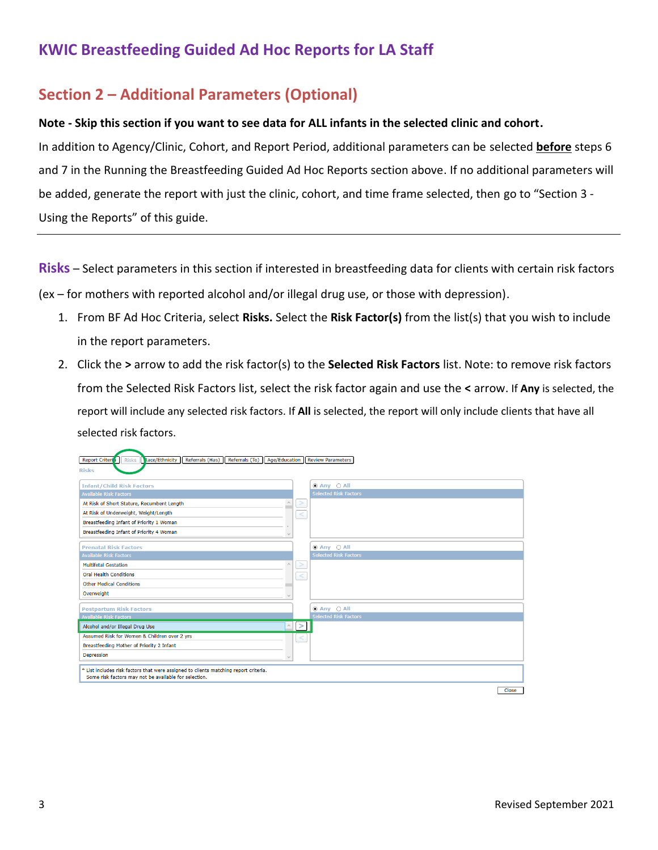#### **Section 2 – Additional Parameters (Optional)**

#### **Note - Skip this section if you want to see data for ALL infants in the selected clinic and cohort.**

In addition to Agency/Clinic, Cohort, and Report Period, additional parameters can be selected **before** steps 6 and 7 in the Running the Breastfeeding Guided Ad Hoc Reports section above. If no additional parameters will be added, generate the report with just the clinic, cohort, and time frame selected, then go to "Section 3 - Using the Reports" of this guide.

**Risks** – Select parameters in this section if interested in breastfeeding data for clients with certain risk factors (ex – for mothers with reported alcohol and/or illegal drug use, or those with depression).

- 1. From BF Ad Hoc Criteria, select **Risks.** Select the **Risk Factor(s)** from the list(s) that you wish to include in the report parameters.
- 2. Click the **>** arrow to add the risk factor(s) to the **Selected Risk Factors** list. Note: to remove risk factors from the Selected Risk Factors list, select the risk factor again and use the **<** arrow. If **Any** is selected, the report will include any selected risk factors. If **All** is selected, the report will only include clients that have all selected risk factors.

| Race/Ethnicity   Referrals (Has)   Referrals (To)   Age/Education   Review Parameters<br>Report Criter <sup>3</sup><br>Risks |                              |
|------------------------------------------------------------------------------------------------------------------------------|------------------------------|
| <b>Risks</b>                                                                                                                 |                              |
| <b>Infant/Child Risk Factors</b>                                                                                             | $\odot$ Any $\odot$ All      |
| <b>Available Risk Factors</b>                                                                                                | <b>Selected Risk Factors</b> |
| At Risk of Short Stature, Recumbent Length                                                                                   |                              |
| At Risk of Underweight, Weight/Length                                                                                        |                              |
| Breastfeeding Infant of Priority 1 Woman                                                                                     |                              |
| Breastfeeding Infant of Priority 4 Woman                                                                                     |                              |
|                                                                                                                              |                              |
| <b>Prenatal Risk Factors</b>                                                                                                 | $@$ Any $@$ All              |
| <b>Available Risk Factors</b>                                                                                                | <b>Selected Risk Factors</b> |
| <b>Multifetal Gestation</b>                                                                                                  |                              |
| <b>Oral Health Conditions</b>                                                                                                |                              |
| <b>Other Medical Conditions</b>                                                                                              |                              |
| Overweight                                                                                                                   |                              |
|                                                                                                                              |                              |
| <b>Postpartum Risk Factors</b>                                                                                               | $\odot$ Any $\odot$ All      |
| <b>Available Risk Factors</b>                                                                                                | <b>Selected Risk Factors</b> |
| Alcohol and/or Illegal Drug Use                                                                                              |                              |
| Assumed Risk for Women & Children over 2 yrs                                                                                 |                              |
| Breastfeeding Mother of Priority 2 Infant                                                                                    |                              |
| <b>Depression</b>                                                                                                            |                              |
| * List includes risk factors that were assigned to clients matching report criteria.                                         |                              |
| Some risk factors may not be available for selection.                                                                        |                              |
|                                                                                                                              |                              |
|                                                                                                                              | Close                        |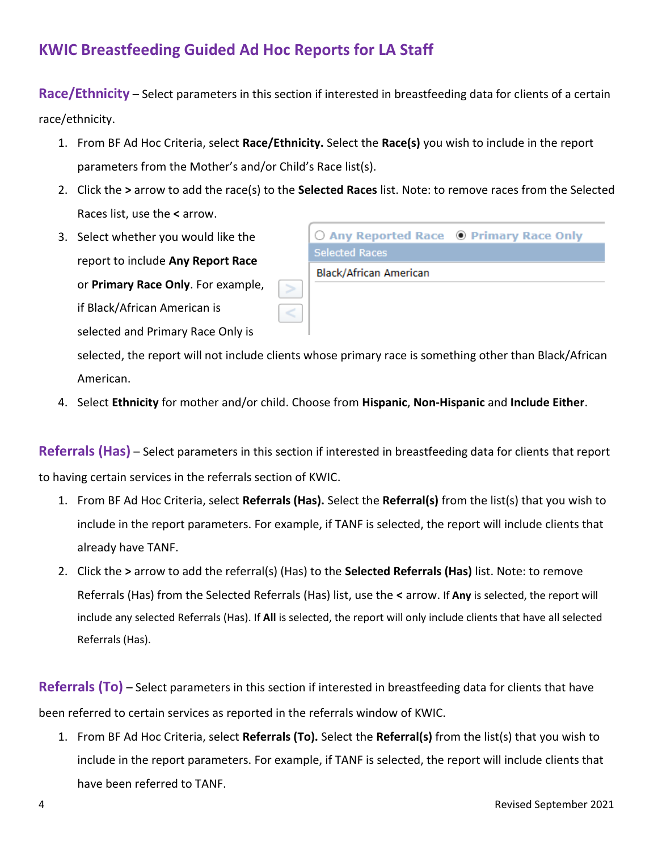**Race/Ethnicity** – Select parameters in this section if interested in breastfeeding data for clients of a certain race/ethnicity.

- 1. From BF Ad Hoc Criteria, select **Race/Ethnicity.** Select the **Race(s)** you wish to include in the report parameters from the Mother's and/or Child's Race list(s).
- 2. Click the **>** arrow to add the race(s) to the **Selected Races** list. Note: to remove races from the Selected Races list, use the **<** arrow.
- 3. Select whether you would like the report to include **Any Report Race** or **Primary Race Only**. For example, if Black/African American is selected and Primary Race Only is

| Black/African American                                    |  |
|-----------------------------------------------------------|--|
| <b>Selected Races</b>                                     |  |
| $\bigcirc$ Any Reported Race $\bigcirc$ Primary Race Only |  |

selected, the report will not include clients whose primary race is something other than Black/African American.

4. Select **Ethnicity** for mother and/or child. Choose from **Hispanic**, **Non-Hispanic** and **Include Either**.

**Referrals (Has)** – Select parameters in this section if interested in breastfeeding data for clients that report to having certain services in the referrals section of KWIC.

- 1. From BF Ad Hoc Criteria, select **Referrals (Has).** Select the **Referral(s)** from the list(s) that you wish to include in the report parameters. For example, if TANF is selected, the report will include clients that already have TANF.
- 2. Click the **>** arrow to add the referral(s) (Has) to the **Selected Referrals (Has)** list. Note: to remove Referrals (Has) from the Selected Referrals (Has) list, use the **<** arrow. If **Any** is selected, the report will include any selected Referrals (Has). If **All** is selected, the report will only include clients that have all selected Referrals (Has).

**Referrals (To)** – Select parameters in this section if interested in breastfeeding data for clients that have been referred to certain services as reported in the referrals window of KWIC.

1. From BF Ad Hoc Criteria, select **Referrals (To).** Select the **Referral(s)** from the list(s) that you wish to include in the report parameters. For example, if TANF is selected, the report will include clients that have been referred to TANF.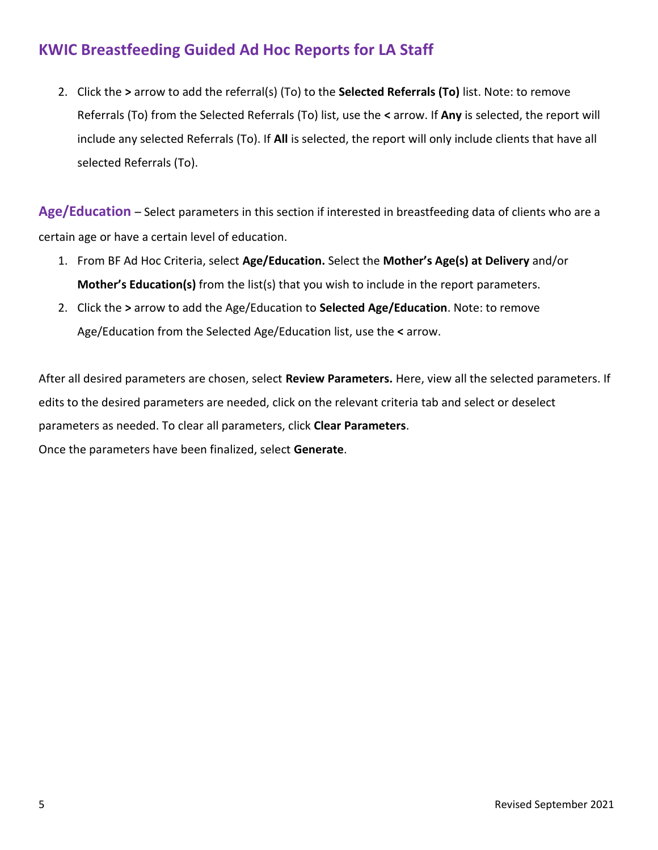2. Click the **>** arrow to add the referral(s) (To) to the **Selected Referrals (To)** list. Note: to remove Referrals (To) from the Selected Referrals (To) list, use the **<** arrow. If **Any** is selected, the report will include any selected Referrals (To). If **All** is selected, the report will only include clients that have all selected Referrals (To).

**Age/Education** – Select parameters in this section if interested in breastfeeding data of clients who are a certain age or have a certain level of education.

- 1. From BF Ad Hoc Criteria, select **Age/Education.** Select the **Mother's Age(s) at Delivery** and/or **Mother's Education(s)** from the list(s) that you wish to include in the report parameters.
- 2. Click the **>** arrow to add the Age/Education to **Selected Age/Education**. Note: to remove Age/Education from the Selected Age/Education list, use the **<** arrow.

After all desired parameters are chosen, select **Review Parameters.** Here, view all the selected parameters. If edits to the desired parameters are needed, click on the relevant criteria tab and select or deselect parameters as needed. To clear all parameters, click **Clear Parameters**.

Once the parameters have been finalized, select **Generate**.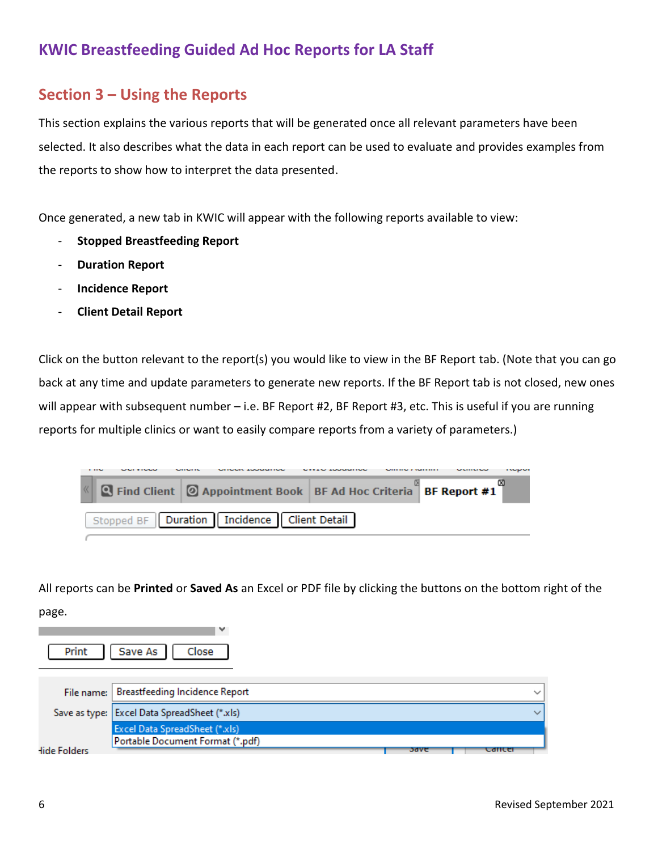#### **Section 3 – Using the Reports**

This section explains the various reports that will be generated once all relevant parameters have been selected. It also describes what the data in each report can be used to evaluate and provides examples from the reports to show how to interpret the data presented.

Once generated, a new tab in KWIC will appear with the following reports available to view:

- **Stopped Breastfeeding Report**

the contract of the contract of

- **Duration Report**
- **Incidence Report**
- **Client Detail Report**

Click on the button relevant to the report(s) you would like to view in the BF Report tab. (Note that you can go back at any time and update parameters to generate new reports. If the BF Report tab is not closed, new ones will appear with subsequent number – i.e. BF Report #2, BF Report #3, etc. This is useful if you are running reports for multiple clinics or want to easily compare reports from a variety of parameters.)

| . |                                                                            |  |  |  |
|---|----------------------------------------------------------------------------|--|--|--|
|   | K   Q Find Client   Ø Appointment Book   BF Ad Hoc Criteria   BF Report #1 |  |  |  |
|   | Stopped BF   Duration   Incidence   Client Detail                          |  |  |  |

All reports can be **Printed** or **Saved As** an Excel or PDF file by clicking the buttons on the bottom right of the page.

| Print        | Save As<br>Close                               |      |        |
|--------------|------------------------------------------------|------|--------|
|              | File name:   Breastfeeding Incidence Report    |      |        |
|              | Save as type:   Excel Data SpreadSheet (*.xls) |      |        |
|              | Excel Data SpreadSheet (*.xls)                 |      |        |
|              | Portable Document Format (*.pdf)               |      |        |
| lide Folders |                                                | oave | cancer |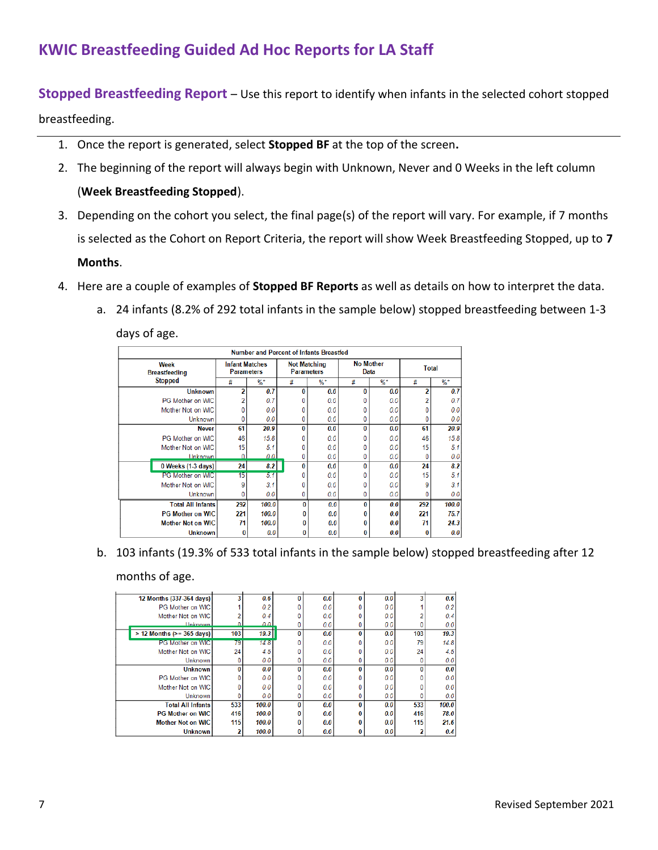**Stopped Breastfeeding Report** – Use this report to identify when infants in the selected cohort stopped

breastfeeding.

- 1. Once the report is generated, select **Stopped BF** at the top of the screen**.**
- 2. The beginning of the report will always begin with Unknown, Never and 0 Weeks in the left column (**Week Breastfeeding Stopped**).
- 3. Depending on the cohort you select, the final page(s) of the report will vary. For example, if 7 months is selected as the Cohort on Report Criteria, the report will show Week Breastfeeding Stopped, up to **7 Months**.
- 4. Here are a couple of examples of **Stopped BF Reports** as well as details on how to interpret the data.
	- a. 24 infants (8.2% of 292 total infants in the sample below) stopped breastfeeding between 1-3 days of age.

| <b>Number and Percent of Infants Breastfed</b> |     |                                            |          |                                          |                          |       |              |        |  |  |
|------------------------------------------------|-----|--------------------------------------------|----------|------------------------------------------|--------------------------|-------|--------------|--------|--|--|
| Week<br><b>Breastfeeding</b>                   |     | <b>Infant Matches</b><br><b>Parameters</b> |          | <b>Not Matching</b><br><b>Parameters</b> | <b>No Mother</b><br>Data |       | <b>Total</b> |        |  |  |
| <b>Stopped</b>                                 | #   | $\%$ *                                     | #        | $\%$ *                                   | #                        | $%$ * | #            | $\%$ * |  |  |
| <b>Unknown</b>                                 | 2   | 0.7                                        | $\bf{0}$ | 0.0                                      | 0                        | 0.0   | 2            | 0.7    |  |  |
| PG Mother on WIC                               |     | 0.7                                        | 0        | 0.0                                      |                          | 0.0   |              | 0.7    |  |  |
| Mother Not on WIC                              |     | 0.0                                        | 0        | 0.0                                      |                          | 0.0   |              | 0.0    |  |  |
| Unknown                                        | 0   | 0.0                                        | 0        | 0.0                                      |                          | 0.0   |              | 0.0    |  |  |
| <b>Never</b>                                   | 61  | 20.9                                       | $\bf{0}$ | 0.0                                      | O                        | 0.0   | 61           | 20.9   |  |  |
| PG Mother on WIC                               | 46  | 15.8                                       | 0        | 0.0                                      |                          | 0.0   | 46           | 15.8   |  |  |
| Mother Not on WIC                              | 15  | 5.1                                        | 0        | 0.0                                      |                          | 0.0   | 15           | 5.1    |  |  |
| Unknown                                        | n   | 0.0                                        | 0        | 0.0                                      |                          | 0.0   |              | 0.0    |  |  |
| 0 Weeks (1-3 days)                             | 24  | 8.2                                        | $\bf{0}$ | 0.0                                      | 0                        | 0.0   | 24           | 8.2    |  |  |
| <b>PG Mother on WIC</b>                        | 15  | 5.1                                        | 0        | 0.0                                      |                          | 0.0   | 15           | 5.1    |  |  |
| Mother Not on WIC                              | 9   | 3.1                                        | 0        | 0.0                                      |                          | 0.0   | 9            | 3.1    |  |  |
| Unknown                                        |     | 0.0                                        | 0        | 0.0                                      |                          | 0.0   |              | 0.0    |  |  |
| <b>Total All Infants</b>                       | 292 | 100.0                                      | $\bf{0}$ | 0.0                                      | 0                        | 0.0   | 292          | 100.0  |  |  |
| <b>PG Mother on WIC</b>                        | 221 | 100.0                                      | 0        | 0.0                                      |                          | 0.0   | 221          | 75.7   |  |  |
| <b>Mother Not on WIC</b>                       | 71  | 100.0                                      | $\Omega$ | 0.0                                      |                          | 0.0   | 71           | 24.3   |  |  |
| <b>Unknown</b>                                 | 0   | 0.0                                        | 0        | 0.0                                      | 0                        | 0.0   | 0            | 0.0    |  |  |

b. 103 infants (19.3% of 533 total infants in the sample below) stopped breastfeeding after 12 months of age.

| 12 Months (337-364 days)        |     | 0.6   |   | 0.0 |   | 0.0 | 3   | 0.6   |
|---------------------------------|-----|-------|---|-----|---|-----|-----|-------|
| PG Mother on WIC                |     | 0.2   |   | 0.0 |   | 0.0 |     | 0.2   |
| Mother Not on WIC               |     | 0.4   |   | 0.0 |   | 0.0 |     | 0.4   |
| <b>Linknown</b>                 |     | ا ہ ہ |   | 0.0 |   | 0.0 |     | 0.0   |
| $> 12$ Months ( $> = 365$ days) | 103 | 19.3  | 0 | 0.0 | 0 | 0.0 | 103 | 19.3  |
| <b>PG Mother on WIC</b>         | 79  | 14.8  |   | 0.0 |   | 0.0 | 79  | 14.8  |
| Mother Not on WIC               | 24  | 4.5   |   | 0.0 |   | 0.0 | 24  | 4.5   |
| <b>Unknown</b>                  |     | 0.0   |   | 0.0 |   | 0.0 |     | 0.0   |
| <b>Unknown</b>                  | n   | 0.0   | 0 | 0.0 | 0 | 0.0 | 0   | 0.0   |
| PG Mother on WIC                |     | 0.0   |   | 0.0 |   | 0.0 |     | 0.0   |
| Mother Not on WIC               |     | 0.0   |   | 0.0 |   | 0.0 |     | 0.0   |
| <b>Unknown</b>                  |     | 0.0   |   | 0.0 |   | 0.0 |     | 0.0   |
| <b>Total All Infants</b>        | 533 | 100.0 | 0 | 0.0 |   | 0.0 | 533 | 100.0 |
| <b>PG Mother on WIC</b>         | 416 | 100.0 |   | 0.0 |   | 0.0 | 416 | 78.0  |
| <b>Mother Not on WIC</b>        | 115 | 100.0 |   | 0.0 |   | 0.0 | 115 | 21.6  |
| <b>Unknown</b>                  |     | 100.0 | 0 | 0.0 |   | 0.0 |     | 0.4   |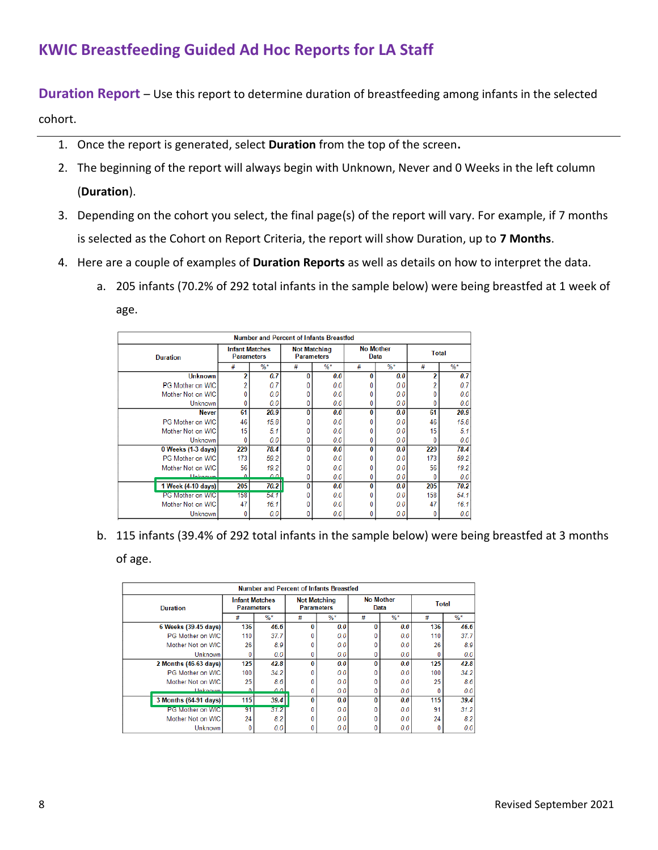**Duration Report** – Use this report to determine duration of breastfeeding among infants in the selected cohort.

- 1. Once the report is generated, select **Duration** from the top of the screen**.**
- 2. The beginning of the report will always begin with Unknown, Never and 0 Weeks in the left column (**Duration**).
- 3. Depending on the cohort you select, the final page(s) of the report will vary. For example, if 7 months is selected as the Cohort on Report Criteria, the report will show Duration, up to **7 Months**.
- 4. Here are a couple of examples of **Duration Reports** as well as details on how to interpret the data.
	- a. 205 infants (70.2% of 292 total infants in the sample below) were being breastfed at 1 week of age.

|                         | <b>Number and Percent of Infants Breastfed</b> |                                            |          |                                          |   |                                 |              |        |  |  |  |
|-------------------------|------------------------------------------------|--------------------------------------------|----------|------------------------------------------|---|---------------------------------|--------------|--------|--|--|--|
| <b>Duration</b>         |                                                | <b>Infant Matches</b><br><b>Parameters</b> |          | <b>Not Matching</b><br><b>Parameters</b> |   | <b>No Mother</b><br><b>Data</b> | <b>Total</b> |        |  |  |  |
|                         | #                                              | $%$ *                                      | #        | $%$ *                                    | # | $%$ *                           | #            | $\%$ * |  |  |  |
| <b>Unknown</b>          | 2                                              | 0.7                                        | $\bf{0}$ | 0.0                                      | O | 0.0                             | 2            | 0.7    |  |  |  |
| <b>PG Mother on WIC</b> |                                                | 0.7                                        |          | 0.0                                      |   | 0.0                             |              | 0.7    |  |  |  |
| Mother Not on WIC       |                                                | 0.0                                        |          | 0.0                                      |   | 0.0                             |              | 0.0    |  |  |  |
| Unknown                 | 0                                              | 0.0                                        | 0        | 0.0                                      | 0 | 0.0                             |              | 0.0    |  |  |  |
| <b>Never</b>            | 61                                             | 20.9                                       | 0        | 0.0                                      | 0 | 0.0                             | 61           | 20.9   |  |  |  |
| PG Mother on WIC        | 46                                             | 15.8                                       | 0        | 0.0                                      | 0 | 0.0                             | 46           | 15.8   |  |  |  |
| Mother Not on WIC       | 15                                             | 5.1                                        | 0        | 0.0                                      |   | 0.0                             | 15           | 5.1    |  |  |  |
| <b>Unknown</b>          | 0                                              | 0.0                                        | 0        | 0.0                                      | 0 | 0.0                             | 0            | 0.0    |  |  |  |
| $0$ Weeks (1-3 days)    | 229                                            | 78.4                                       | $\bf{0}$ | 0.0                                      | 0 | 0.0                             | 229          | 78.4   |  |  |  |
| PG Mother on WIC        | 173                                            | 59.2                                       | Ω        | 0.0                                      | 0 | 0.0                             | 173          | 59.2   |  |  |  |
| Mother Not on WIC       | 56                                             | 19.2                                       | 0        | 0.0                                      | 0 | 0.0                             | 56           | 19.2   |  |  |  |
| <b>Hokoown</b>          | $\mathbf{a}$                                   | اه ه                                       | 0        | 0.0                                      | 0 | 0.0                             |              | 0.0    |  |  |  |
| 1 Week (4-10 days)      | 205                                            | 70.2                                       | $\bf{0}$ | 0.0                                      | 0 | 0.0                             | 205          | 70.2   |  |  |  |
| PG Mother on WIC        | 158                                            | 54.1                                       | 0        | 0.0                                      |   | 0.0                             | 158          | 54.1   |  |  |  |
| Mother Not on WIC       | 47                                             | 16.1                                       |          | 0.0                                      |   | 0.0                             | 47           | 16.1   |  |  |  |
| <b>Unknown</b>          | 0                                              | 0.0                                        | 0        | 0.0                                      | 0 | 0.0                             |              | 0.0    |  |  |  |

b. 115 infants (39.4% of 292 total infants in the sample below) were being breastfed at 3 months of age.

|                       | <b>Number and Percent of Infants Breastfed</b> |       |                                          |               |              |                          |              |        |  |  |  |
|-----------------------|------------------------------------------------|-------|------------------------------------------|---------------|--------------|--------------------------|--------------|--------|--|--|--|
| <b>Duration</b>       | <b>Infant Matches</b><br><b>Parameters</b>     |       | <b>Not Matching</b><br><b>Parameters</b> |               |              | <b>No Mother</b><br>Data | <b>Total</b> |        |  |  |  |
|                       | #                                              | $%$ * | #                                        | $\frac{9}{6}$ | #            | $%$ *                    | #            | $\%$ * |  |  |  |
| 6 Weeks (39-45 days)  | 136                                            | 46.6  | 0                                        | 0.0           | $\Omega$     | 0.0                      | 136          | 46.6   |  |  |  |
| PG Mother on WIC      | 110                                            | 37.7  |                                          | 0.0           |              | 0.0                      | 110          | 37.7   |  |  |  |
| Mother Not on WIC     | 26                                             | 8.9   |                                          | 0.0           |              | 0.0                      | 26           | 8.9    |  |  |  |
| <b>Unknown</b>        |                                                | 0.0   | 0                                        | 0.0           |              | 0.0                      |              | 0.0    |  |  |  |
| 2 Months (46-63 days) | 125                                            | 42.8  | 0                                        | 0.0           | $\bf{0}$     | 0.0                      | 125          | 42.8   |  |  |  |
| PG Mother on WIC      | 100                                            | 34.2  |                                          | 0.0           |              | 0.0                      | 100          | 34.2   |  |  |  |
| Mother Not on WIC     | 25                                             | 8.6   |                                          | 0.0           |              | 0.0                      | 25           | 8.6    |  |  |  |
| <b>Unknown</b>        | n                                              | 0 O L | 0                                        | 0.0           |              | 0.0                      |              | 0.0    |  |  |  |
| 3 Months (64-91 days) | 115                                            | 39.4  | 0                                        | 0.0           | $\bf{0}$     | 0.0                      | 115          | 39.4   |  |  |  |
| PG Mother on WIC      | 91                                             | 31.2  |                                          | 0.0           |              | 0.0                      | 91           | 31.2   |  |  |  |
| Mother Not on WIC     | 24                                             | 8.2   |                                          | 0.0           |              | 0.0                      | 24           | 8.2    |  |  |  |
| <b>Unknown</b>        | 0                                              | 0.0   | 0                                        | 0.0           | $\mathbf{0}$ | 0.0                      |              | 0.0    |  |  |  |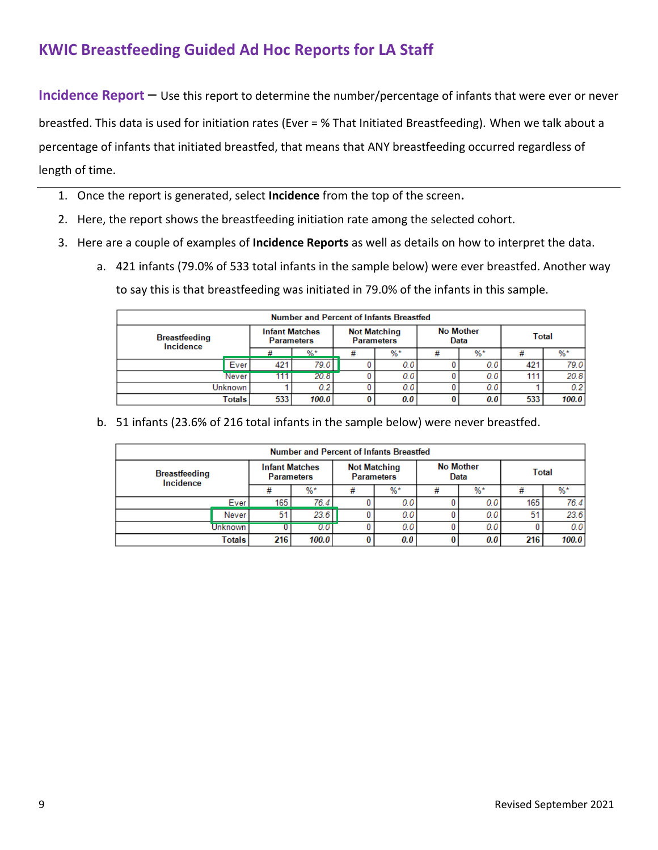**Incidence Report** – Use this report to determine the number/percentage of infants that were ever or never

breastfed. This data is used for initiation rates (Ever = % That Initiated Breastfeeding). When we talk about a percentage of infants that initiated breastfed, that means that ANY breastfeeding occurred regardless of length of time.

- 1. Once the report is generated, select **Incidence** from the top of the screen**.**
- 2. Here, the report shows the breastfeeding initiation rate among the selected cohort.
- 3. Here are a couple of examples of **Incidence Reports** as well as details on how to interpret the data.
	- a. 421 infants (79.0% of 533 total infants in the sample below) were ever breastfed. Another way to say this is that breastfeeding was initiated in 79.0% of the infants in this sample.

| <b>Number and Percent of Infants Breastfed</b> |       |                                            |         |   |                                          |                  |       |     |       |  |
|------------------------------------------------|-------|--------------------------------------------|---------|---|------------------------------------------|------------------|-------|-----|-------|--|
| <b>Breastfeeding</b><br>Incidence              |       | <b>Infant Matches</b><br><b>Parameters</b> |         |   | <b>Not Matching</b><br><b>Parameters</b> | <b>No Mother</b> | Data  |     | Total |  |
|                                                |       |                                            | $0/2$ * | # | $%$ *                                    | ₩                | $%$ * |     | $%$ * |  |
|                                                | Ever  | 421                                        | 79.0    |   | 0.0                                      |                  | 0.0   | 421 | 79.0  |  |
|                                                | Never | 111                                        | 20.81   |   | 0,0                                      |                  | 0.0   | 111 | 20.8  |  |
| <b>Unknown</b>                                 |       |                                            | 0.2     |   | 0.0                                      |                  | 0.0   |     | 0.2   |  |
| Totals                                         |       | 533                                        | 100.0   |   | 0.0                                      |                  | 0.0   | 533 | 100.0 |  |

b. 51 infants (23.6% of 216 total infants in the sample below) were never breastfed.

| <b>Number and Percent of Infants Breastfed</b> |                   |                                            |       |                                          |       |                          |       |              |       |  |
|------------------------------------------------|-------------------|--------------------------------------------|-------|------------------------------------------|-------|--------------------------|-------|--------------|-------|--|
| <b>Breastfeeding</b><br>Incidence              |                   | <b>Infant Matches</b><br><b>Parameters</b> |       | <b>Not Matching</b><br><b>Parameters</b> |       | <b>No Mother</b><br>Data |       | <b>Total</b> |       |  |
|                                                |                   | #                                          | $%$ * |                                          | $%$ * | #                        | $%$ * | #            | %*    |  |
|                                                | Ever <sup>1</sup> | 165                                        | 76.4  |                                          | 0.0   |                          | 0.0   | 165          | 76.4  |  |
|                                                | Never             | 51                                         | 23.6  |                                          | 0.0   |                          | 0.0   | 51           | 23.6  |  |
| Unknown                                        |                   |                                            | 0.0   |                                          | 0.0   |                          | 0.0   |              | 0.01  |  |
|                                                | Totals            | 216                                        | 100.0 |                                          | 0.0   |                          | 0.0   | 216          | 100.0 |  |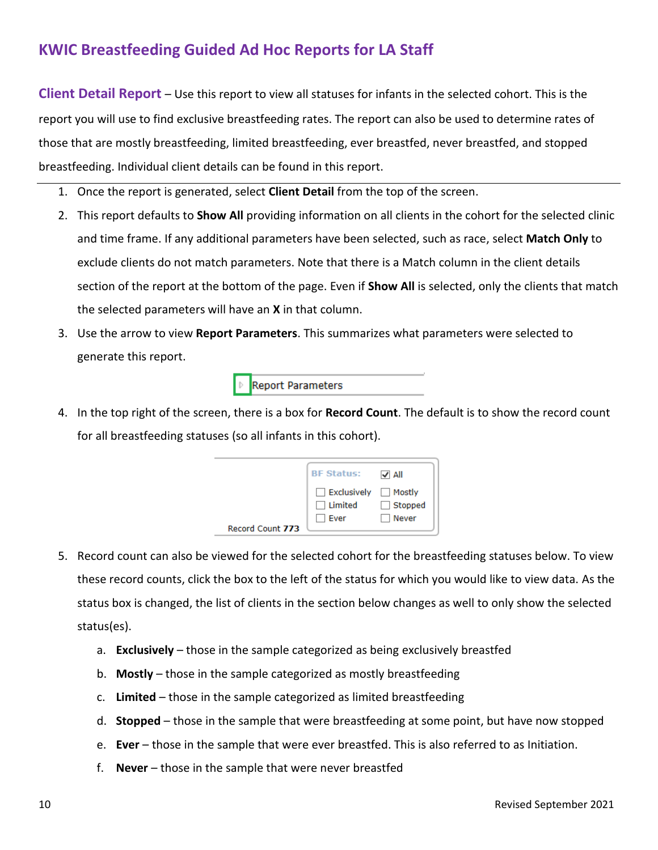**Client Detail Report** – Use this report to view all statuses for infants in the selected cohort. This is the report you will use to find exclusive breastfeeding rates. The report can also be used to determine rates of those that are mostly breastfeeding, limited breastfeeding, ever breastfed, never breastfed, and stopped breastfeeding. Individual client details can be found in this report.

- 1. Once the report is generated, select **Client Detail** from the top of the screen.
- 2. This report defaults to **Show All** providing information on all clients in the cohort for the selected clinic and time frame. If any additional parameters have been selected, such as race, select **Match Only** to exclude clients do not match parameters. Note that there is a Match column in the client details section of the report at the bottom of the page. Even if **Show All** is selected, only the clients that match the selected parameters will have an **X** in that column.
- 3. Use the arrow to view **Report Parameters**. This summarizes what parameters were selected to generate this report.

**Report Parameters** 

4. In the top right of the screen, there is a box for **Record Count**. The default is to show the record count for all breastfeeding statuses (so all infants in this cohort).

|                  | <b>BF Status:</b>                            | $\sqrt{}$ All           |
|------------------|----------------------------------------------|-------------------------|
| Record Count 773 | Exclusively Mostly<br>$\Box$ Limited<br>Ever | $\Box$ Stopped<br>Never |

- 5. Record count can also be viewed for the selected cohort for the breastfeeding statuses below. To view these record counts, click the box to the left of the status for which you would like to view data. As the status box is changed, the list of clients in the section below changes as well to only show the selected status(es).
	- a. **Exclusively**  those in the sample categorized as being exclusively breastfed
	- b. **Mostly**  those in the sample categorized as mostly breastfeeding
	- c. **Limited** those in the sample categorized as limited breastfeeding
	- d. **Stopped** those in the sample that were breastfeeding at some point, but have now stopped
	- e. **Ever** those in the sample that were ever breastfed. This is also referred to as Initiation.
	- f. **Never** those in the sample that were never breastfed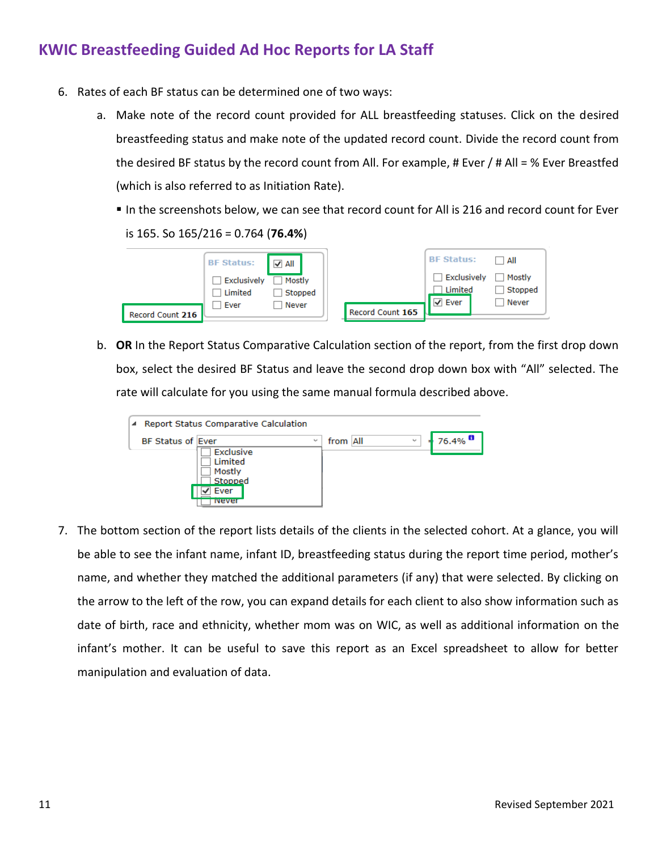- 6. Rates of each BF status can be determined one of two ways:
	- a. Make note of the record count provided for ALL breastfeeding statuses. Click on the desired breastfeeding status and make note of the updated record count. Divide the record count from the desired BF status by the record count from All. For example, # Ever / # All = % Ever Breastfed (which is also referred to as Initiation Rate).
		- In the screenshots below, we can see that record count for All is 216 and record count for Ever is 165. So 165/216 = 0.764 (**76.4%**)

| <b>BF Status:</b>                                  | All                        | <b>BF Status:</b>                                            | All                        |
|----------------------------------------------------|----------------------------|--------------------------------------------------------------|----------------------------|
| Exclusively<br>Limited<br>Ever<br>Record Count 216 | Mostly<br>Stopped<br>Never | Exclusively<br>Limited<br>$\sqrt{}$ Ever<br>Record Count 165 | Mostly<br>Stopped<br>Never |

b. **OR** In the Report Status Comparative Calculation section of the report, from the first drop down box, select the desired BF Status and leave the second drop down box with "All" selected. The rate will calculate for you using the same manual formula described above.

| Report Status Comparative Calculation<br>◢                                                                           |                                             |
|----------------------------------------------------------------------------------------------------------------------|---------------------------------------------|
| <b>BF Status of Ever</b><br>$\checkmark$<br><b>Exclusive</b><br>Limited<br>Mostly<br>Stopped<br>Ever<br><b>Never</b> | $76.4\%$ $^{\bullet}$<br>from All<br>$\sim$ |

7. The bottom section of the report lists details of the clients in the selected cohort. At a glance, you will be able to see the infant name, infant ID, breastfeeding status during the report time period, mother's name, and whether they matched the additional parameters (if any) that were selected. By clicking on the arrow to the left of the row, you can expand details for each client to also show information such as date of birth, race and ethnicity, whether mom was on WIC, as well as additional information on the infant's mother. It can be useful to save this report as an Excel spreadsheet to allow for better manipulation and evaluation of data.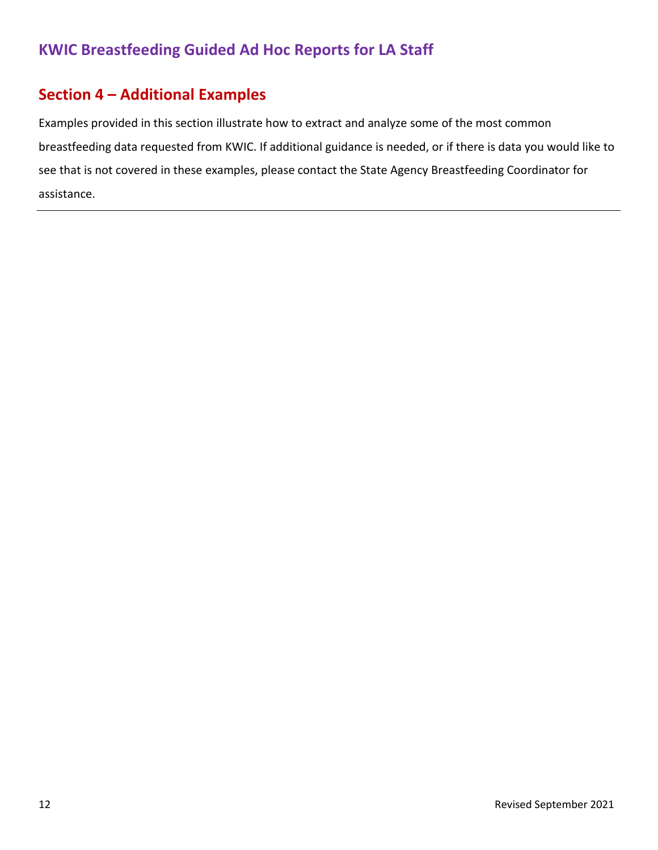#### **Section 4 – Additional Examples**

Examples provided in this section illustrate how to extract and analyze some of the most common breastfeeding data requested from KWIC. If additional guidance is needed, or if there is data you would like to see that is not covered in these examples, please contact the State Agency Breastfeeding Coordinator for assistance.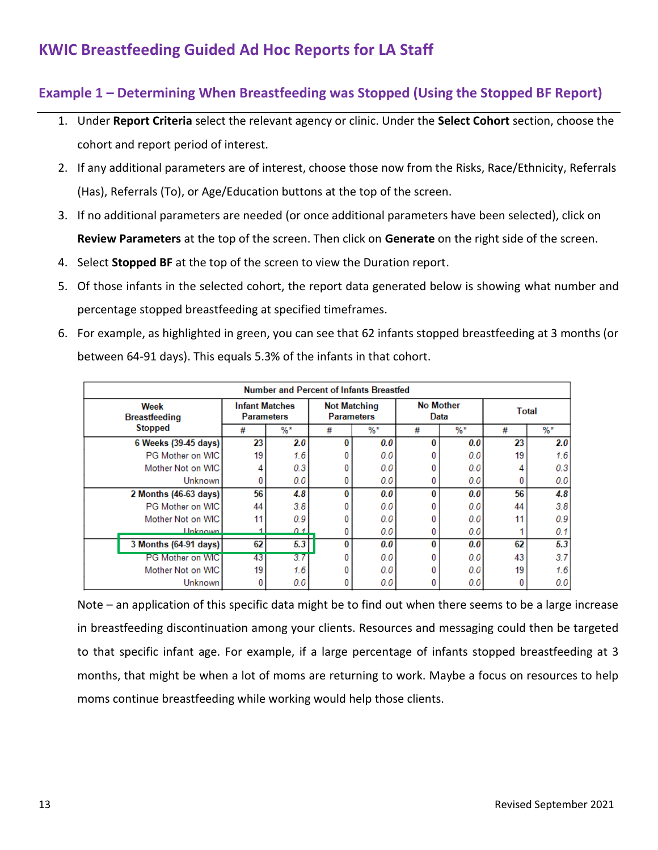#### **Example 1 – Determining When Breastfeeding was Stopped (Using the Stopped BF Report)**

- 1. Under **Report Criteria** select the relevant agency or clinic. Under the **Select Cohort** section, choose the cohort and report period of interest.
- 2. If any additional parameters are of interest, choose those now from the Risks, Race/Ethnicity, Referrals (Has), Referrals (To), or Age/Education buttons at the top of the screen.
- 3. If no additional parameters are needed (or once additional parameters have been selected), click on **Review Parameters** at the top of the screen. Then click on **Generate** on the right side of the screen.
- 4. Select **Stopped BF** at the top of the screen to view the Duration report.
- 5. Of those infants in the selected cohort, the report data generated below is showing what number and percentage stopped breastfeeding at specified timeframes.
- 6. For example, as highlighted in green, you can see that 62 infants stopped breastfeeding at 3 months (or between 64-91 days). This equals 5.3% of the infants in that cohort.

|                              | <b>Number and Percent of Infants Breastfed</b> |                                     |       |                                          |       |                          |       |       |       |  |
|------------------------------|------------------------------------------------|-------------------------------------|-------|------------------------------------------|-------|--------------------------|-------|-------|-------|--|
| Week<br><b>Breastfeeding</b> |                                                | <b>Infant Matches</b><br>Parameters |       | <b>Not Matching</b><br><b>Parameters</b> |       | <b>No Mother</b><br>Data |       | Total |       |  |
|                              | <b>Stopped</b>                                 | #                                   | $%$ * | #                                        | $%$ * | #                        | $%$ * | #     | $%$ * |  |
|                              | 6 Weeks (39-45 days)                           | 23                                  | 2.0   | 0                                        | 0.0   | o                        | 0.0   | 23    | 2.0   |  |
|                              | PG Mother on WIC                               | 19                                  | 1.6   | 0                                        | 0.0   |                          | 0.0   | 19    | 1.6   |  |
|                              | Mother Not on WIC                              |                                     | 0.3   |                                          | 0.0   |                          | 0.0   |       | 0.3   |  |
|                              | <b>Unknown</b>                                 |                                     | 0.0   | 0                                        | 0.0   |                          | 0.0   |       | 0.0   |  |
|                              | 2 Months (46-63 days)                          | 56                                  | 4.8   | 0                                        | 0.0   | n                        | 0.0   | 56    | 4.8   |  |
|                              | PG Mother on WIC                               | 44                                  | 3.8   | 0                                        | 0.0   |                          | 0.0   | 44    | 3.8   |  |
|                              | Mother Not on WIC                              | 11                                  | 0.9   | 0                                        | 0.0   |                          | 0.0   | 11    | 0.9   |  |
|                              | <b>Unknown</b>                                 |                                     | 011   | 0                                        | 0.0   |                          | 0.0   |       | 0.1   |  |
|                              | 3 Months (64-91 days)                          | 62                                  | 5.3   | 0                                        | 0.0   | o                        | 0.0   | 62    | 5.3   |  |
|                              | <b>PG Mother on WIC</b>                        | 43                                  | 3.7   | 0                                        | 0.0   |                          | 0.0   | 43    | 3.7   |  |
|                              | Mother Not on WIC                              | 19                                  | 1.6   | 0                                        | 0.0   |                          | 0.0   | 19    | 1.6   |  |
|                              | <b>Unknown</b>                                 | 0                                   | 0.0   | 0                                        | 0.0   |                          | 0.0   |       | 0.0   |  |

Note – an application of this specific data might be to find out when there seems to be a large increase in breastfeeding discontinuation among your clients. Resources and messaging could then be targeted to that specific infant age. For example, if a large percentage of infants stopped breastfeeding at 3 months, that might be when a lot of moms are returning to work. Maybe a focus on resources to help moms continue breastfeeding while working would help those clients.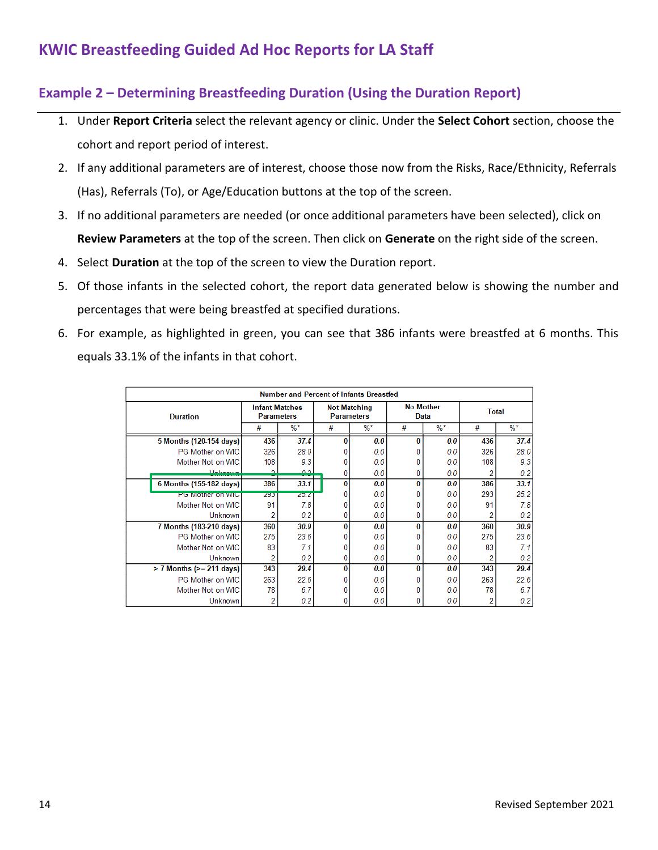#### **Example 2 – Determining Breastfeeding Duration (Using the Duration Report)**

- 1. Under **Report Criteria** select the relevant agency or clinic. Under the **Select Cohort** section, choose the cohort and report period of interest.
- 2. If any additional parameters are of interest, choose those now from the Risks, Race/Ethnicity, Referrals (Has), Referrals (To), or Age/Education buttons at the top of the screen.
- 3. If no additional parameters are needed (or once additional parameters have been selected), click on **Review Parameters** at the top of the screen. Then click on **Generate** on the right side of the screen.
- 4. Select **Duration** at the top of the screen to view the Duration report.
- 5. Of those infants in the selected cohort, the report data generated below is showing the number and percentages that were being breastfed at specified durations.
- 6. For example, as highlighted in green, you can see that 386 infants were breastfed at 6 months. This equals 33.1% of the infants in that cohort.

|                                | <b>Number and Percent of Infants Breastfed</b> |                                            |   |                                          |   |                          |     |              |  |  |  |
|--------------------------------|------------------------------------------------|--------------------------------------------|---|------------------------------------------|---|--------------------------|-----|--------------|--|--|--|
| <b>Duration</b>                |                                                | <b>Infant Matches</b><br><b>Parameters</b> |   | <b>Not Matching</b><br><b>Parameters</b> |   | <b>No Mother</b><br>Data |     | <b>Total</b> |  |  |  |
|                                | #                                              | $%$ *                                      | # | $%$ *                                    | # | $%$ *                    | #   | $%$ *        |  |  |  |
| 5 Months (120-154 days)        | 436                                            | 37.4                                       | 0 | 0.0                                      | 0 | 0.0                      | 436 | 37.4         |  |  |  |
| PG Mother on WIC               | 326                                            | 28.0                                       |   | 0.0                                      |   | 0.0                      | 326 | 28.0         |  |  |  |
| Mother Not on WIC              | 108                                            | 9.3                                        |   | 0.0                                      |   | 0.0                      | 108 | 9.3          |  |  |  |
| <b>Holzpown</b>                | $\mathbf{\Omega}$                              | 0.2                                        | 0 | 0.0                                      | 0 | 0.0                      |     | 0.2          |  |  |  |
| 6 Months (155-182 days)        | 386                                            | 33.1                                       | 0 | 0.0                                      | 0 | 0.0                      | 386 | 33.1         |  |  |  |
| <b>PG Mother on WIC</b>        | 293                                            | 25.2                                       |   | 0.0                                      |   | 0.0                      | 293 | 25.2         |  |  |  |
| Mother Not on WIC              | 91                                             | 7.8                                        |   | 0.0                                      |   | 0.0                      | 91  | 7.8          |  |  |  |
| <b>Unknown</b>                 | 2                                              | 0.2                                        | 0 | 0.0                                      | 0 | 0.0                      |     | 0.2          |  |  |  |
| 7 Months (183-210 days)        | 360                                            | 30.9                                       | 0 | 0.0                                      | 0 | 0.0                      | 360 | 30.9         |  |  |  |
| PG Mother on WIC               | 275                                            | 23.6                                       |   | 0.0                                      |   | 0.0                      | 275 | 23.6         |  |  |  |
| Mother Not on WIC              | 83                                             | 7.1                                        |   | 0.0                                      |   | 0.0                      | 83  | 7.1          |  |  |  |
| Unknown                        | 2                                              | 0.2                                        | 0 | 0.0                                      |   | 0.0                      |     | 0.2          |  |  |  |
| $> 7$ Months ( $> = 211$ days) | 343                                            | 29.4                                       | 0 | 0.0                                      | 0 | 0.0                      | 343 | 29.4         |  |  |  |
| PG Mother on WIC               | 263                                            | 22.6                                       |   | 0.0                                      |   | 0.0                      | 263 | 22.6         |  |  |  |
| Mother Not on WIC              | 78                                             | 6.7                                        |   | 0.0                                      |   | 0.0                      | 78  | 6.7          |  |  |  |
| <b>Unknown</b>                 | 2                                              | 0.2                                        |   | 0.0                                      |   | 0.0                      |     | 0.2          |  |  |  |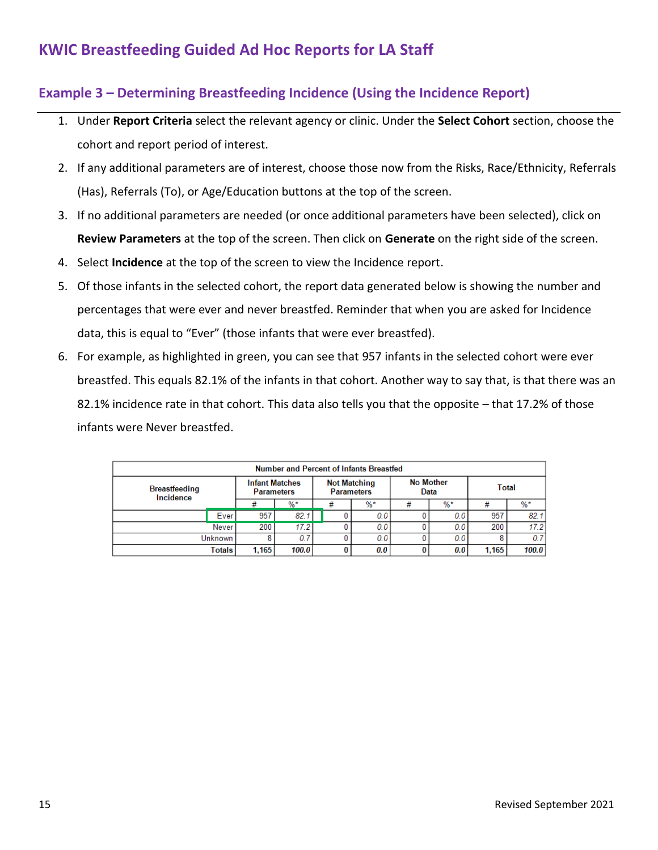#### **Example 3 – Determining Breastfeeding Incidence (Using the Incidence Report)**

- 1. Under **Report Criteria** select the relevant agency or clinic. Under the **Select Cohort** section, choose the cohort and report period of interest.
- 2. If any additional parameters are of interest, choose those now from the Risks, Race/Ethnicity, Referrals (Has), Referrals (To), or Age/Education buttons at the top of the screen.
- 3. If no additional parameters are needed (or once additional parameters have been selected), click on **Review Parameters** at the top of the screen. Then click on **Generate** on the right side of the screen.
- 4. Select **Incidence** at the top of the screen to view the Incidence report.
- 5. Of those infants in the selected cohort, the report data generated below is showing the number and percentages that were ever and never breastfed. Reminder that when you are asked for Incidence data, this is equal to "Ever" (those infants that were ever breastfed).
- 6. For example, as highlighted in green, you can see that 957 infants in the selected cohort were ever breastfed. This equals 82.1% of the infants in that cohort. Another way to say that, is that there was an 82.1% incidence rate in that cohort. This data also tells you that the opposite – that 17.2% of those infants were Never breastfed.

| Number and Percent of Infants Breastfed |        |                                            |       |                                          |   |                          |   |              |       |       |
|-----------------------------------------|--------|--------------------------------------------|-------|------------------------------------------|---|--------------------------|---|--------------|-------|-------|
| <b>Breastfeeding</b><br>Incidence       |        | <b>Infant Matches</b><br><b>Parameters</b> |       | <b>Not Matching</b><br><b>Parameters</b> |   | <b>No Mother</b><br>Data |   | <b>Total</b> |       |       |
|                                         |        |                                            | $%$ * |                                          | # | $%$ *                    | ┯ | $%$ *        |       | $%$ * |
|                                         | Ever   | 957                                        | 82.1  |                                          |   | 0.0                      |   | 0.0          | 957   | 82.1  |
|                                         | Never  | 200                                        | 17.2  |                                          |   | 0.0                      |   | 0.0          | 200   | 17.2  |
| <b>Unknown</b>                          |        |                                            | 0.7   |                                          |   | 0.0                      |   | 0.0          |       | 0.7   |
|                                         | Totals | 1.165                                      | 100.0 |                                          |   | 0.0                      |   | 0.0          | 1.165 | 100.0 |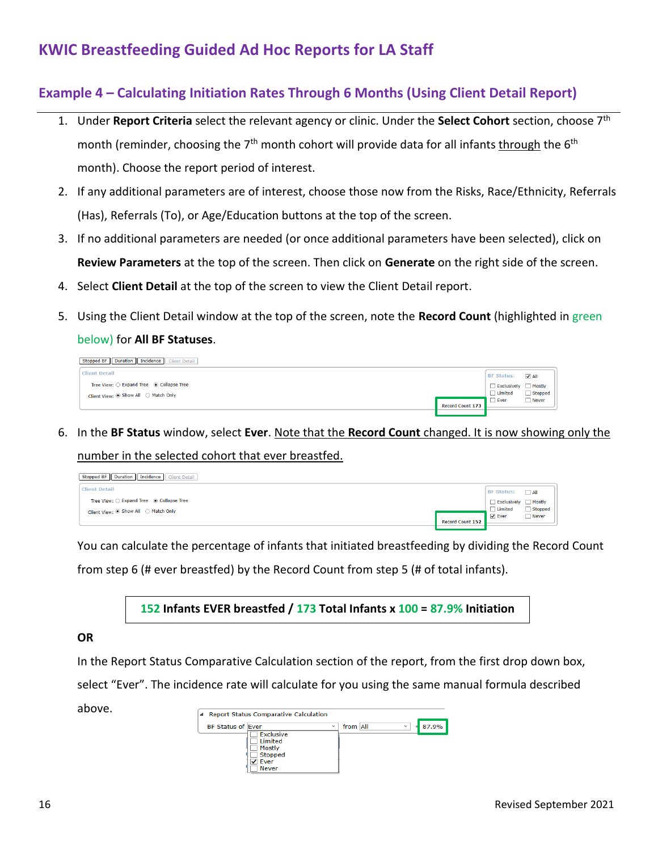#### **Example 4 – Calculating Initiation Rates Through 6 Months (Using Client Detail Report)**

- 1. Under **Report Criteria** select the relevant agency or clinic. Under the **Select Cohort** section, choose 7th month (reminder, choosing the 7<sup>th</sup> month cohort will provide data for all infants through the 6<sup>th</sup> month). Choose the report period of interest.
- 2. If any additional parameters are of interest, choose those now from the Risks, Race/Ethnicity, Referrals (Has), Referrals (To), or Age/Education buttons at the top of the screen.
- 3. If no additional parameters are needed (or once additional parameters have been selected), click on **Review Parameters** at the top of the screen. Then click on **Generate** on the right side of the screen.
- 4. Select **Client Detail** at the top of the screen to view the Client Detail report.
- 5. Using the Client Detail window at the top of the screen, note the **Record Count** (highlighted in green

#### below) for **All BF Statuses**.

| Stopped BF Duration Incidence Client Detail |                  |                    |             |
|---------------------------------------------|------------------|--------------------|-------------|
| <b>Client Detail</b>                        |                  | <b>BF Status:</b>  | $\sqrt{AB}$ |
| Tree View: O Expand Tree @ Collapse Tree    |                  | Exclusively Mostly |             |
| Client View: ◉ Show All ○ Match Only        |                  | $\Box$ Limited     | Stopped     |
|                                             | Record Count 173 | $\Box$ Ever        | Never       |
|                                             |                  |                    |             |

6. In the **BF Status** window, select **Ever**. Note that the **Record Count** changed. It is now showing only the

number in the selected cohort that ever breastfed.

| Stopped BF Duration Incidence Client Detail |                  |                      |                |
|---------------------------------------------|------------------|----------------------|----------------|
| <b>Client Detail</b>                        |                  | <b>BF Status:</b>    | $\Box$ All     |
| Tree View: O Expand Tree @ Collapse Tree    |                  | Exclusively Mostly   |                |
| Client View: ◉ Show All ○ Match Only        |                  | $\Box$ Limited       | $\Box$ Stopped |
|                                             |                  | $\triangledown$ Ever | Never          |
|                                             | Record Count 152 |                      |                |

You can calculate the percentage of infants that initiated breastfeeding by dividing the Record Count

from step 6 (# ever breastfed) by the Record Count from step 5 (# of total infants).

**152 Infants EVER breastfed / 173 Total Infants x 100 = 87.9% Initiation**

#### **OR**

In the Report Status Comparative Calculation section of the report, from the first drop down box,

select "Ever". The incidence rate will calculate for you using the same manual formula described

above.

| Report Status Comparative Calculation |                                       |
|---------------------------------------|---------------------------------------|
| <b>BF Status of Ever</b>              | from All<br>87.9%<br>$\sim$<br>$\sim$ |
| Exclusive                             |                                       |
| Limited                               |                                       |
| Mostly                                |                                       |
| Stopped                               |                                       |
| Ever                                  |                                       |
| <b>Never</b>                          |                                       |